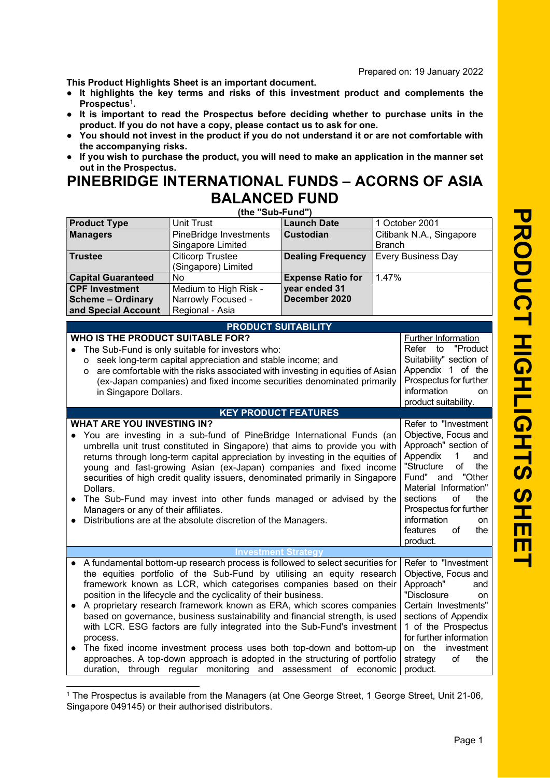Prepared on: 19 January 2022

This Product Highlights Sheet is an important document.

- It highlights the key terms and risks of this investment product and complements the Prospectus<sup>1</sup>.
- It is important to read the Prospectus before deciding whether to purchase units in the product. If you do not have a copy, please contact us to ask for one.
- You should not invest in the product if you do not understand it or are not comfortable with the accompanying risks.
- If you wish to purchase the product, you will need to make an application in the manner set out in the Prospectus.

## PINEBRIDGE INTERNATIONAL FUNDS – ACORNS OF ASIA BALANCED FUND

(the "Sub-Fund")

| <b>Product Type</b>                                                                                                                                      | <b>Unit Trust</b>                                                                                                                                    | <b>Launch Date</b>             | 1 October 2001           |                            |  |
|----------------------------------------------------------------------------------------------------------------------------------------------------------|------------------------------------------------------------------------------------------------------------------------------------------------------|--------------------------------|--------------------------|----------------------------|--|
| <b>Managers</b>                                                                                                                                          | PineBridge Investments                                                                                                                               | <b>Custodian</b>               | Citibank N.A., Singapore |                            |  |
|                                                                                                                                                          | Singapore Limited                                                                                                                                    |                                | <b>Branch</b>            |                            |  |
| <b>Trustee</b>                                                                                                                                           | <b>Citicorp Trustee</b>                                                                                                                              | <b>Dealing Frequency</b>       |                          | <b>Every Business Day</b>  |  |
|                                                                                                                                                          | (Singapore) Limited                                                                                                                                  |                                |                          |                            |  |
| <b>Capital Guaranteed</b>                                                                                                                                | No                                                                                                                                                   | <b>Expense Ratio for</b>       | 1.47%                    |                            |  |
| <b>CPF Investment</b>                                                                                                                                    | Medium to High Risk -                                                                                                                                | year ended 31<br>December 2020 |                          |                            |  |
| <b>Scheme - Ordinary</b>                                                                                                                                 | Narrowly Focused -<br>Regional - Asia                                                                                                                |                                |                          |                            |  |
| and Special Account                                                                                                                                      |                                                                                                                                                      |                                |                          |                            |  |
|                                                                                                                                                          | <b>PRODUCT SUITABILITY</b>                                                                                                                           |                                |                          |                            |  |
| WHO IS THE PRODUCT SUITABLE FOR?                                                                                                                         |                                                                                                                                                      |                                |                          | Further Information        |  |
|                                                                                                                                                          | The Sub-Fund is only suitable for investors who:                                                                                                     |                                |                          | Refer to<br>"Product       |  |
|                                                                                                                                                          | o seek long-term capital appreciation and stable income; and                                                                                         |                                |                          | Suitability" section of    |  |
| O                                                                                                                                                        | are comfortable with the risks associated with investing in equities of Asian                                                                        |                                |                          | Appendix 1 of the          |  |
|                                                                                                                                                          | (ex-Japan companies) and fixed income securities denominated primarily                                                                               |                                |                          | Prospectus for further     |  |
| in Singapore Dollars.                                                                                                                                    |                                                                                                                                                      |                                |                          | information<br>on          |  |
|                                                                                                                                                          |                                                                                                                                                      |                                |                          | product suitability.       |  |
| <b>WHAT ARE YOU INVESTING IN?</b>                                                                                                                        | <b>KEY PRODUCT FEATURES</b>                                                                                                                          |                                |                          | Refer to "Investment       |  |
|                                                                                                                                                          |                                                                                                                                                      |                                |                          | Objective, Focus and       |  |
|                                                                                                                                                          | You are investing in a sub-fund of PineBridge International Funds (an<br>umbrella unit trust constituted in Singapore) that aims to provide you with |                                |                          | Approach" section of       |  |
|                                                                                                                                                          | returns through long-term capital appreciation by investing in the equities of                                                                       |                                |                          | Appendix<br>1<br>and       |  |
|                                                                                                                                                          | young and fast-growing Asian (ex-Japan) companies and fixed income                                                                                   |                                |                          | "Structure<br>of<br>the    |  |
|                                                                                                                                                          | securities of high credit quality issuers, denominated primarily in Singapore                                                                        |                                |                          | and "Other<br>Fund"        |  |
| Dollars.                                                                                                                                                 |                                                                                                                                                      |                                |                          | Material Information"      |  |
|                                                                                                                                                          | The Sub-Fund may invest into other funds managed or advised by the                                                                                   |                                |                          | sections<br>of<br>the      |  |
| Managers or any of their affiliates.                                                                                                                     |                                                                                                                                                      |                                |                          | Prospectus for further     |  |
|                                                                                                                                                          | Distributions are at the absolute discretion of the Managers.                                                                                        |                                |                          | information<br>on          |  |
|                                                                                                                                                          |                                                                                                                                                      |                                |                          | features<br>οf<br>the      |  |
|                                                                                                                                                          |                                                                                                                                                      |                                |                          | product.                   |  |
| <b>Investment Strategy</b>                                                                                                                               |                                                                                                                                                      |                                |                          |                            |  |
|                                                                                                                                                          | A fundamental bottom-up research process is followed to select securities for                                                                        |                                |                          | Refer to "Investment       |  |
| the equities portfolio of the Sub-Fund by utilising an equity research                                                                                   |                                                                                                                                                      |                                | Objective, Focus and     |                            |  |
| framework known as LCR, which categorises companies based on their                                                                                       |                                                                                                                                                      |                                | Approach"<br>and         |                            |  |
| position in the lifecycle and the cyclicality of their business.<br>"Disclosure<br>A proprietary research framework known as ERA, which scores companies |                                                                                                                                                      |                                |                          | on<br>Certain Investments" |  |
| $\bullet$                                                                                                                                                | based on governance, business sustainability and financial strength, is used                                                                         |                                |                          | sections of Appendix       |  |
|                                                                                                                                                          | with LCR. ESG factors are fully integrated into the Sub-Fund's investment                                                                            |                                |                          | 1 of the Prospectus        |  |
| process.                                                                                                                                                 |                                                                                                                                                      |                                |                          | for further information    |  |
|                                                                                                                                                          | The fixed income investment process uses both top-down and bottom-up<br>on the<br>investment                                                         |                                |                          |                            |  |
| approaches. A top-down approach is adopted in the structuring of portfolio                                                                               |                                                                                                                                                      |                                |                          | of<br>the<br>strategy      |  |
|                                                                                                                                                          | duration, through regular monitoring and assessment of economic                                                                                      |                                |                          | product.                   |  |
|                                                                                                                                                          |                                                                                                                                                      |                                |                          |                            |  |

<sup>1</sup> The Prospectus is available from the Managers (at One George Street, 1 George Street, Unit 21-06, Singapore 049145) or their authorised distributors.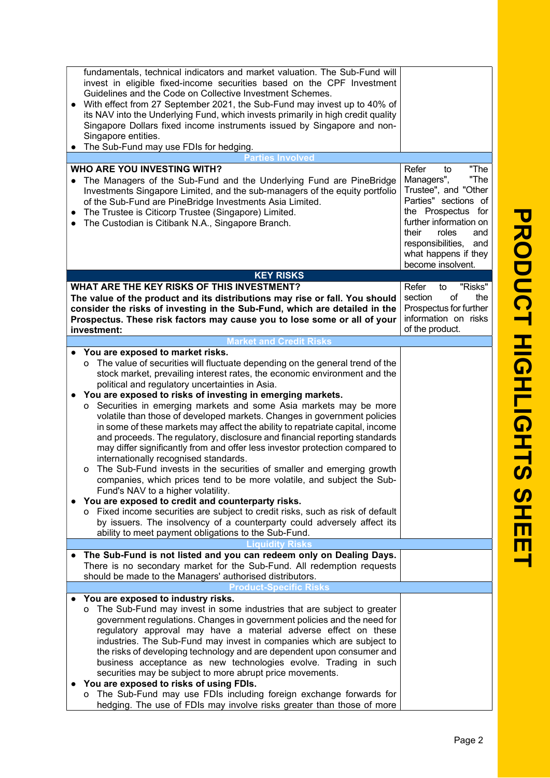| fundamentals, technical indicators and market valuation. The Sub-Fund will<br>invest in eligible fixed-income securities based on the CPF Investment<br>Guidelines and the Code on Collective Investment Schemes.<br>With effect from 27 September 2021, the Sub-Fund may invest up to 40% of<br>its NAV into the Underlying Fund, which invests primarily in high credit quality<br>Singapore Dollars fixed income instruments issued by Singapore and non-<br>Singapore entities.<br>The Sub-Fund may use FDIs for hedging.                                                                                                                                                                                                                                                                                                                                                                                                                                                                                                                                                                                                                                                                                                                             |                                                                                                                                                                                                                                             |
|-----------------------------------------------------------------------------------------------------------------------------------------------------------------------------------------------------------------------------------------------------------------------------------------------------------------------------------------------------------------------------------------------------------------------------------------------------------------------------------------------------------------------------------------------------------------------------------------------------------------------------------------------------------------------------------------------------------------------------------------------------------------------------------------------------------------------------------------------------------------------------------------------------------------------------------------------------------------------------------------------------------------------------------------------------------------------------------------------------------------------------------------------------------------------------------------------------------------------------------------------------------|---------------------------------------------------------------------------------------------------------------------------------------------------------------------------------------------------------------------------------------------|
| <b>Parties Involved</b>                                                                                                                                                                                                                                                                                                                                                                                                                                                                                                                                                                                                                                                                                                                                                                                                                                                                                                                                                                                                                                                                                                                                                                                                                                   |                                                                                                                                                                                                                                             |
| WHO ARE YOU INVESTING WITH?<br>The Managers of the Sub-Fund and the Underlying Fund are PineBridge<br>Investments Singapore Limited, and the sub-managers of the equity portfolio<br>of the Sub-Fund are PineBridge Investments Asia Limited.<br>The Trustee is Citicorp Trustee (Singapore) Limited.<br>The Custodian is Citibank N.A., Singapore Branch.<br>$\bullet$                                                                                                                                                                                                                                                                                                                                                                                                                                                                                                                                                                                                                                                                                                                                                                                                                                                                                   | Refer<br>"The<br>to<br>"The<br>Managers",<br>Trustee", and "Other<br>Parties" sections of<br>the Prospectus for<br>further information on<br>their<br>roles<br>and<br>responsibilities,<br>and<br>what happens if they<br>become insolvent. |
| <b>KEY RISKS</b>                                                                                                                                                                                                                                                                                                                                                                                                                                                                                                                                                                                                                                                                                                                                                                                                                                                                                                                                                                                                                                                                                                                                                                                                                                          |                                                                                                                                                                                                                                             |
| <b>WHAT ARE THE KEY RISKS OF THIS INVESTMENT?</b>                                                                                                                                                                                                                                                                                                                                                                                                                                                                                                                                                                                                                                                                                                                                                                                                                                                                                                                                                                                                                                                                                                                                                                                                         | "Risks"<br>Refer<br>to                                                                                                                                                                                                                      |
| The value of the product and its distributions may rise or fall. You should<br>consider the risks of investing in the Sub-Fund, which are detailed in the<br>Prospectus. These risk factors may cause you to lose some or all of your<br>investment:                                                                                                                                                                                                                                                                                                                                                                                                                                                                                                                                                                                                                                                                                                                                                                                                                                                                                                                                                                                                      | section<br>of<br>the<br>Prospectus for further<br>information on risks<br>of the product.                                                                                                                                                   |
| <b>Market and Credit Risks</b>                                                                                                                                                                                                                                                                                                                                                                                                                                                                                                                                                                                                                                                                                                                                                                                                                                                                                                                                                                                                                                                                                                                                                                                                                            |                                                                                                                                                                                                                                             |
| You are exposed to market risks.<br>$\bullet$<br>o The value of securities will fluctuate depending on the general trend of the<br>stock market, prevailing interest rates, the economic environment and the<br>political and regulatory uncertainties in Asia.<br>You are exposed to risks of investing in emerging markets.<br>$\bullet$<br>o Securities in emerging markets and some Asia markets may be more<br>volatile than those of developed markets. Changes in government policies<br>in some of these markets may affect the ability to repatriate capital, income<br>and proceeds. The regulatory, disclosure and financial reporting standards<br>may differ significantly from and offer less investor protection compared to<br>internationally recognised standards.<br>o The Sub-Fund invests in the securities of smaller and emerging growth<br>companies, which prices tend to be more volatile, and subject the Sub-<br>Fund's NAV to a higher volatility.<br>You are exposed to credit and counterparty risks.<br>o Fixed income securities are subject to credit risks, such as risk of default<br>by issuers. The insolvency of a counterparty could adversely affect its<br>ability to meet payment obligations to the Sub-Fund. |                                                                                                                                                                                                                                             |
|                                                                                                                                                                                                                                                                                                                                                                                                                                                                                                                                                                                                                                                                                                                                                                                                                                                                                                                                                                                                                                                                                                                                                                                                                                                           |                                                                                                                                                                                                                                             |
| The Sub-Fund is not listed and you can redeem only on Dealing Days.<br>$\bullet$<br>There is no secondary market for the Sub-Fund. All redemption requests<br>should be made to the Managers' authorised distributors.                                                                                                                                                                                                                                                                                                                                                                                                                                                                                                                                                                                                                                                                                                                                                                                                                                                                                                                                                                                                                                    |                                                                                                                                                                                                                                             |
| Product-Specific Risks                                                                                                                                                                                                                                                                                                                                                                                                                                                                                                                                                                                                                                                                                                                                                                                                                                                                                                                                                                                                                                                                                                                                                                                                                                    |                                                                                                                                                                                                                                             |
| You are exposed to industry risks.<br>o The Sub-Fund may invest in some industries that are subject to greater<br>government regulations. Changes in government policies and the need for<br>regulatory approval may have a material adverse effect on these<br>industries. The Sub-Fund may invest in companies which are subject to<br>the risks of developing technology and are dependent upon consumer and<br>business acceptance as new technologies evolve. Trading in such<br>securities may be subject to more abrupt price movements.<br>You are exposed to risks of using FDIs.<br>o The Sub-Fund may use FDIs including foreign exchange forwards for<br>hedging. The use of FDIs may involve risks greater than those of more                                                                                                                                                                                                                                                                                                                                                                                                                                                                                                                |                                                                                                                                                                                                                                             |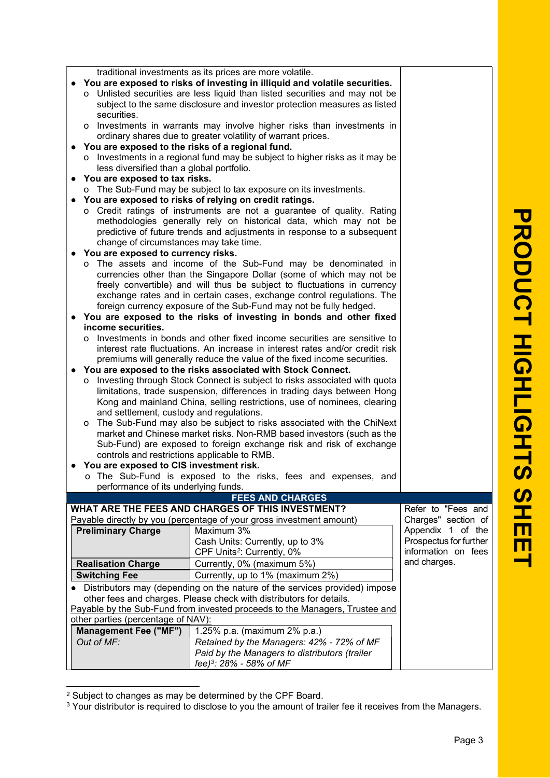| <b>RODUCT</b>       |  |
|---------------------|--|
|                     |  |
|                     |  |
|                     |  |
|                     |  |
|                     |  |
|                     |  |
|                     |  |
|                     |  |
| <b>HIGHLIGHTS</b>   |  |
|                     |  |
| <b>SHE</b>          |  |
| $\mathbf \mathbf I$ |  |
| عا                  |  |

|                                                                             |                                                                     | traditional investments as its prices are more volatile.<br>• You are exposed to risks of investing in illiquid and volatile securities.         |                        |  |
|-----------------------------------------------------------------------------|---------------------------------------------------------------------|--------------------------------------------------------------------------------------------------------------------------------------------------|------------------------|--|
|                                                                             |                                                                     | o Unlisted securities are less liquid than listed securities and may not be                                                                      |                        |  |
|                                                                             |                                                                     | subject to the same disclosure and investor protection measures as listed                                                                        |                        |  |
|                                                                             | securities.                                                         |                                                                                                                                                  |                        |  |
|                                                                             |                                                                     | o Investments in warrants may involve higher risks than investments in                                                                           |                        |  |
|                                                                             |                                                                     | ordinary shares due to greater volatility of warrant prices.                                                                                     |                        |  |
|                                                                             | • You are exposed to the risks of a regional fund.                  |                                                                                                                                                  |                        |  |
|                                                                             |                                                                     | o Investments in a regional fund may be subject to higher risks as it may be                                                                     |                        |  |
|                                                                             | less diversified than a global portfolio.                           |                                                                                                                                                  |                        |  |
|                                                                             | • You are exposed to tax risks.                                     |                                                                                                                                                  |                        |  |
| o The Sub-Fund may be subject to tax exposure on its investments.           |                                                                     |                                                                                                                                                  |                        |  |
| • You are exposed to risks of relying on credit ratings.                    |                                                                     |                                                                                                                                                  |                        |  |
|                                                                             |                                                                     | o Credit ratings of instruments are not a guarantee of quality. Rating                                                                           |                        |  |
|                                                                             |                                                                     | methodologies generally rely on historical data, which may not be                                                                                |                        |  |
|                                                                             |                                                                     | predictive of future trends and adjustments in response to a subsequent                                                                          |                        |  |
|                                                                             | change of circumstances may take time.                              |                                                                                                                                                  |                        |  |
|                                                                             | You are exposed to currency risks.                                  |                                                                                                                                                  |                        |  |
|                                                                             |                                                                     | o The assets and income of the Sub-Fund may be denominated in                                                                                    |                        |  |
|                                                                             |                                                                     | currencies other than the Singapore Dollar (some of which may not be                                                                             |                        |  |
|                                                                             |                                                                     | freely convertible) and will thus be subject to fluctuations in currency                                                                         |                        |  |
|                                                                             |                                                                     | exchange rates and in certain cases, exchange control regulations. The                                                                           |                        |  |
|                                                                             |                                                                     | foreign currency exposure of the Sub-Fund may not be fully hedged.                                                                               |                        |  |
|                                                                             |                                                                     | You are exposed to the risks of investing in bonds and other fixed                                                                               |                        |  |
|                                                                             | income securities.                                                  |                                                                                                                                                  |                        |  |
|                                                                             |                                                                     | o Investments in bonds and other fixed income securities are sensitive to                                                                        |                        |  |
|                                                                             |                                                                     | interest rate fluctuations. An increase in interest rates and/or credit risk                                                                     |                        |  |
|                                                                             |                                                                     | premiums will generally reduce the value of the fixed income securities.                                                                         |                        |  |
|                                                                             |                                                                     | You are exposed to the risks associated with Stock Connect.                                                                                      |                        |  |
|                                                                             |                                                                     | o Investing through Stock Connect is subject to risks associated with quota                                                                      |                        |  |
|                                                                             |                                                                     | limitations, trade suspension, differences in trading days between Hong                                                                          |                        |  |
|                                                                             |                                                                     | Kong and mainland China, selling restrictions, use of nominees, clearing                                                                         |                        |  |
|                                                                             | and settlement, custody and regulations.                            |                                                                                                                                                  |                        |  |
|                                                                             |                                                                     | o The Sub-Fund may also be subject to risks associated with the ChiNext<br>market and Chinese market risks. Non-RMB based investors (such as the |                        |  |
|                                                                             |                                                                     | Sub-Fund) are exposed to foreign exchange risk and risk of exchange                                                                              |                        |  |
|                                                                             | controls and restrictions applicable to RMB.                        |                                                                                                                                                  |                        |  |
|                                                                             | • You are exposed to CIS investment risk.                           |                                                                                                                                                  |                        |  |
|                                                                             |                                                                     | o The Sub-Fund is exposed to the risks, fees and expenses, and                                                                                   |                        |  |
|                                                                             | performance of its underlying funds.                                |                                                                                                                                                  |                        |  |
|                                                                             |                                                                     | <b>FEES AND CHARGES</b>                                                                                                                          |                        |  |
|                                                                             |                                                                     | WHAT ARE THE FEES AND CHARGES OF THIS INVESTMENT?                                                                                                | Refer to "Fees and     |  |
|                                                                             |                                                                     | Payable directly by you (percentage of your gross investment amount)                                                                             | Charges" section of    |  |
|                                                                             | <b>Preliminary Charge</b>                                           | Maximum 3%                                                                                                                                       | Appendix 1 of the      |  |
|                                                                             |                                                                     | Cash Units: Currently, up to 3%                                                                                                                  | Prospectus for further |  |
|                                                                             |                                                                     | CPF Units <sup>2</sup> : Currently, 0%                                                                                                           | information on fees    |  |
|                                                                             | <b>Realisation Charge</b>                                           | Currently, 0% (maximum 5%)                                                                                                                       | and charges.           |  |
|                                                                             | <b>Switching Fee</b>                                                | Currently, up to 1% (maximum 2%)                                                                                                                 |                        |  |
|                                                                             |                                                                     | Distributors may (depending on the nature of the services provided) impose                                                                       |                        |  |
|                                                                             | other fees and charges. Please check with distributors for details. |                                                                                                                                                  |                        |  |
| Payable by the Sub-Fund from invested proceeds to the Managers, Trustee and |                                                                     |                                                                                                                                                  |                        |  |
|                                                                             | other parties (percentage of NAV):                                  |                                                                                                                                                  |                        |  |
|                                                                             | <b>Management Fee ("MF")</b>                                        | 1.25% p.a. (maximum 2% p.a.)                                                                                                                     |                        |  |
|                                                                             | Out of MF:                                                          | Retained by the Managers: 42% - 72% of MF                                                                                                        |                        |  |
|                                                                             |                                                                     | Paid by the Managers to distributors (trailer                                                                                                    |                        |  |

fee)<sup>3</sup> : 28% - 58% of MF

 $^2$  Subject to changes as may be determined by the CPF Board.<br><sup>3</sup> Your distributor is required to disclose to you the amount of trailer fee it receives from the Managers.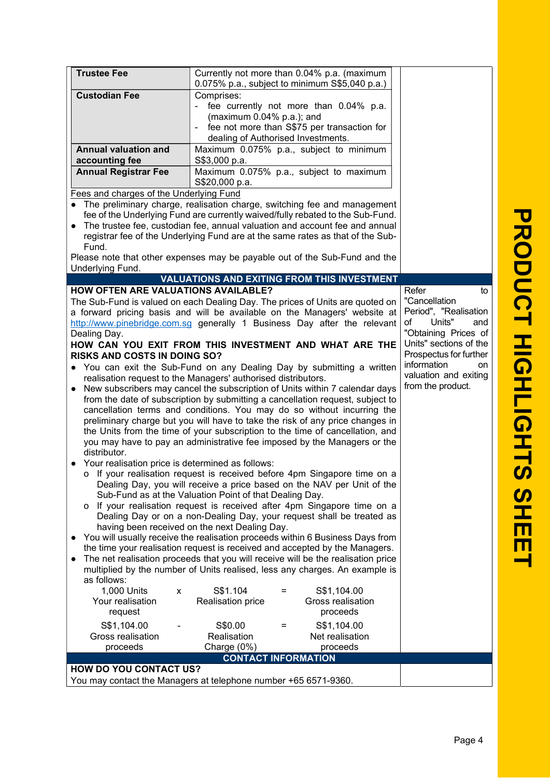| <b>Trustee Fee</b>                                                                               | Currently not more than 0.04% p.a. (maximum<br>0.075% p.a., subject to minimum S\$5,040 p.a.)                                                                 |                        |  |  |
|--------------------------------------------------------------------------------------------------|---------------------------------------------------------------------------------------------------------------------------------------------------------------|------------------------|--|--|
| <b>Custodian Fee</b>                                                                             | Comprises:                                                                                                                                                    |                        |  |  |
|                                                                                                  | - fee currently not more than 0.04% p.a.                                                                                                                      |                        |  |  |
|                                                                                                  | (maximum 0.04% p.a.); and                                                                                                                                     |                        |  |  |
|                                                                                                  | fee not more than S\$75 per transaction for                                                                                                                   |                        |  |  |
|                                                                                                  | dealing of Authorised Investments.                                                                                                                            |                        |  |  |
| <b>Annual valuation and</b>                                                                      | Maximum 0.075% p.a., subject to minimum                                                                                                                       |                        |  |  |
| accounting fee                                                                                   | S\$3,000 p.a.                                                                                                                                                 |                        |  |  |
| <b>Annual Registrar Fee</b>                                                                      | Maximum 0.075% p.a., subject to maximum<br>S\$20,000 p.a.                                                                                                     |                        |  |  |
| Fees and charges of the Underlying Fund                                                          | The preliminary charge, realisation charge, switching fee and management                                                                                      |                        |  |  |
|                                                                                                  | fee of the Underlying Fund are currently waived/fully rebated to the Sub-Fund.                                                                                |                        |  |  |
|                                                                                                  | The trustee fee, custodian fee, annual valuation and account fee and annual<br>registrar fee of the Underlying Fund are at the same rates as that of the Sub- |                        |  |  |
| Fund.                                                                                            |                                                                                                                                                               |                        |  |  |
|                                                                                                  | Please note that other expenses may be payable out of the Sub-Fund and the                                                                                    |                        |  |  |
| Underlying Fund.                                                                                 |                                                                                                                                                               |                        |  |  |
|                                                                                                  | <b>VALUATIONS AND EXITING FROM THIS INVESTMENT</b>                                                                                                            |                        |  |  |
| <b>HOW OFTEN ARE VALUATIONS AVAILABLE?</b>                                                       |                                                                                                                                                               | Refer<br>to            |  |  |
|                                                                                                  | The Sub-Fund is valued on each Dealing Day. The prices of Units are quoted on                                                                                 | "Cancellation          |  |  |
|                                                                                                  | a forward pricing basis and will be available on the Managers' website at                                                                                     | Period", "Realisation  |  |  |
|                                                                                                  | http://www.pinebridge.com.sg generally 1 Business Day after the relevant                                                                                      | of<br>Units"<br>and    |  |  |
| Dealing Day.                                                                                     |                                                                                                                                                               | "Obtaining Prices of   |  |  |
|                                                                                                  | HOW CAN YOU EXIT FROM THIS INVESTMENT AND WHAT ARE THE                                                                                                        | Units" sections of the |  |  |
| <b>RISKS AND COSTS IN DOING SO?</b>                                                              |                                                                                                                                                               | Prospectus for further |  |  |
|                                                                                                  | • You can exit the Sub-Fund on any Dealing Day by submitting a written                                                                                        | information<br>on      |  |  |
| valuation and exiting<br>realisation request to the Managers' authorised distributors.           |                                                                                                                                                               |                        |  |  |
| from the product.<br>New subscribers may cancel the subscription of Units within 7 calendar days |                                                                                                                                                               |                        |  |  |
| from the date of subscription by submitting a cancellation request, subject to                   |                                                                                                                                                               |                        |  |  |
| cancellation terms and conditions. You may do so without incurring the                           |                                                                                                                                                               |                        |  |  |
| preliminary charge but you will have to take the risk of any price changes in                    |                                                                                                                                                               |                        |  |  |
|                                                                                                  | the Units from the time of your subscription to the time of cancellation, and                                                                                 |                        |  |  |
|                                                                                                  | you may have to pay an administrative fee imposed by the Managers or the                                                                                      |                        |  |  |
| distributor.                                                                                     |                                                                                                                                                               |                        |  |  |
| Your realisation price is determined as follows:                                                 |                                                                                                                                                               |                        |  |  |
|                                                                                                  | o If your realisation request is received before 4pm Singapore time on a                                                                                      |                        |  |  |
| Dealing Day, you will receive a price based on the NAV per Unit of the                           |                                                                                                                                                               |                        |  |  |
| Sub-Fund as at the Valuation Point of that Dealing Day.                                          |                                                                                                                                                               |                        |  |  |
| o If your realisation request is received after 4pm Singapore time on a                          |                                                                                                                                                               |                        |  |  |
| Dealing Day or on a non-Dealing Day, your request shall be treated as                            |                                                                                                                                                               |                        |  |  |
|                                                                                                  | having been received on the next Dealing Day.                                                                                                                 |                        |  |  |
|                                                                                                  |                                                                                                                                                               |                        |  |  |
|                                                                                                  | You will usually receive the realisation proceeds within 6 Business Days from                                                                                 |                        |  |  |
|                                                                                                  | the time your realisation request is received and accepted by the Managers.                                                                                   |                        |  |  |
|                                                                                                  | The net realisation proceeds that you will receive will be the realisation price                                                                              |                        |  |  |
|                                                                                                  | multiplied by the number of Units realised, less any charges. An example is                                                                                   |                        |  |  |
| as follows:                                                                                      |                                                                                                                                                               |                        |  |  |
| 1,000 Units<br>X                                                                                 | S\$1.104<br>S\$1,104.00<br>=                                                                                                                                  |                        |  |  |
| Your realisation                                                                                 | Realisation price<br>Gross realisation                                                                                                                        |                        |  |  |
| request                                                                                          | proceeds                                                                                                                                                      |                        |  |  |
| S\$1,104.00                                                                                      | S\$0.00<br>S\$1,104.00                                                                                                                                        |                        |  |  |
| Gross realisation                                                                                | Realisation<br>Net realisation                                                                                                                                |                        |  |  |
| proceeds                                                                                         | Charge (0%)<br>proceeds                                                                                                                                       |                        |  |  |
|                                                                                                  | <b>CONTACT INFORMATION</b>                                                                                                                                    |                        |  |  |
| <b>HOW DO YOU CONTACT US?</b>                                                                    | You may contact the Managers at telephone number +65 6571-9360.                                                                                               |                        |  |  |